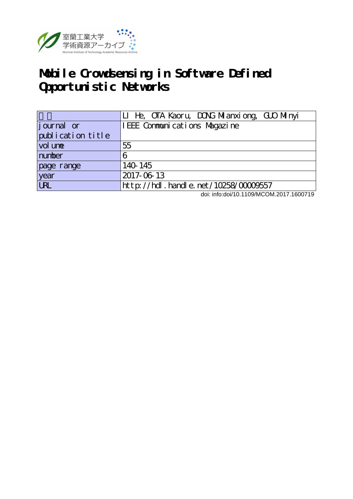

## **Mobile Crowdsensing in Software Defined Opportunistic Networks**

|                    | LI He, OTA Kaoru, DONG Milanxiong, GUO Minyi |
|--------------------|----------------------------------------------|
| <i>j</i> ournal or | I EEE Communications Magazine                |
| publication title  |                                              |
| vol une            | 55                                           |
| number             |                                              |
| page range         | 140 145                                      |
| year<br>URL        | 2017-06-13                                   |
|                    | $http$ ://hdl. handle. net/10258/00009557    |

doi: info:doi/10.1109/MCOM.2017.1600719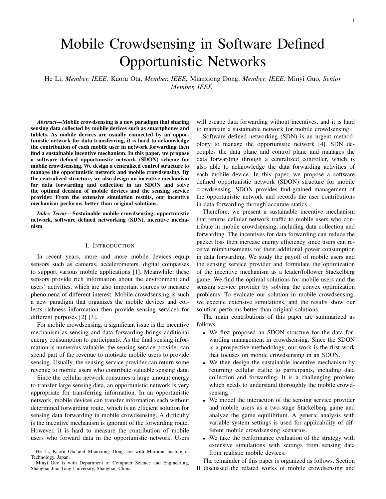# Mobile Crowdsensing in Software Defined Opportunistic Networks

He Li, *Member, IEEE,* Kaoru Ota, *Member, IEEE,* Mianxiong Dong, *Member, IEEE,* Minyi Guo, *Senior Member, IEEE*

*Abstract*—Mobile crowdsensing is a new paradigm that sharing sensing data collected by mobile devices such as smartphones and tablets. As mobile devices are usually connected by an opportunistic network for data transferring, it is hard to acknowledge the contribution of each mobile user in network forwarding then find a sustainable incentive mechanism. In this paper, we propose a software defined opportunistic network (SDON) scheme for mobile crowdsensing. We design a centralized control structure to manage the opportunistic network and mobile crowdsensing. By the centralized structure, we also design an incentive mechanism for data forwarding and collection in an SDON and solve the optimal decision of mobile devices and the sensing service provider. From the extensive simulation results, our incentive mechanism performs better than original solutions.

*Index Terms*—Sustainable mobile crowdsensing, opportunistic network, software defined networking (SDN), incentive mechanism

### I. INTRODUCTION

In recent years, more and more mobile devices equip sensors such as cameras, accelerometers, digital compasses to support various mobile applications [1]. Meanwhile, these sensors provide rich information about the environment and users' activities, which are also important sources to measure phenomena of different interest. Mobile crowdsensing is such a new paradigm that organizes the mobile devices and collects richness information then provide sensing services for different purposes [2] [3].

For mobile crowdsensing, a significant issue is the incentive mechanism as sensing and data forwarding brings additional energy consumption to participants. As the final sensing information is numerous valuable, the sensing service provider can spend part of the revenue to motivate mobile users to provide sensing. Usually, the sensing service provider can return some revenue to mobile users who contribute valuable sensing data.

Since the cellular network consumes a large amount energy to transfer large sensing data, an opportunistic network is very appropriate for transferring information. In an opportunistic network, mobile devices can transfer information each without determined forwarding route, which is an efficient solution for sensing data forwarding in mobile crowdsensing. A difficulty is the incentive mechanism is ignorant of the forwarding route. However, it is hard to measure the contribution of mobile users who forward data in the opportunistic network. Users

will escape data forwarding without incentives, and it is hard to maintain a sustainable network for mobile crowdsensing.

Software defined networking (SDN) is an urgent methodology to manage the opportunistic network [4]. SDN decouples the data plane and control plane and manages the data forwarding through a centralized controller, which is also able to acknowledge the data forwarding activities of each mobile device. In this paper, we propose a software defined opportunistic network (SDON) structure for mobile crowdsensing. SDON provides find-grained management of the opportunistic network and records the user contributions in data forwarding through accurate statics.

Therefore, we present a sustainable incentive mechanism that returns cellular network traffic to mobile users who contribute in mobile crowdsensing, including data collection and forwarding. The incentives for data forwarding can reduce the packet loss then increase energy efficiency since users can receive reimbursements for their additional power consumption in data forwarding. We study the payoff of mobile users and the sensing service provider and formulate the optimization of the incentive mechanism as a leader/follower Stackelberg game. We find the optimal solutions for mobile users and the sensing service provider by solving the convex optimization problems. To evaluate our solution in mobile crowdsensing, we execute extensive simulations, and the results show our solution performs better than original solutions.

The main contributions of this paper are summarized as follows.

- We first proposed an SDON structure for the data forwarding management in crowdsensing. Since the SDON is a prospective methodology, our work is the first work that focuses on mobile crowdsensing in an SDON.
- We then design the sustainable incentive mechanism by returning cellular traffic to participants, including data collection and forwarding. It is a challenging problem which needs to understand thoroughly the mobile crowdsensing.
- We model the interaction of the sensing service provider and mobile users as a two-stage Stackelberg game and analyze the game equilibrium. A generic analysis with variable system settings is used for applicability of different mobile crowdsensing scenarios.
- We take the performance evaluation of the strategy with extensive simulations with settings from sensing data from realistic mobile devices.

The remainder of this paper is organized as follows. Section II discussed the related works of mobile crowdsensing and

He Li, Kaoru Ota and Mianxiong Dong are with Muroran Insitute of Technology, Japan.

Minyi Guo is with Department of Computer Science and Engineering, Shanghai Jiao Tong University, Shanghai, China.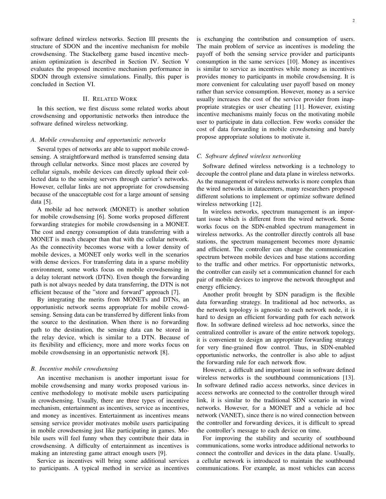software defined wireless networks. Section III presents the structure of SDON and the incentive mechanism for mobile crowdsensing. The Stackelberg game based incentive mechanism optimization is described in Section IV. Section V evaluates the proposed incentive mechanism performance in SDON through extensive simulations. Finally, this paper is concluded in Section VI.

## II. RELATED WORK

In this section, we first discuss some related works about crowdsensing and opportunistic networks then introduce the software defined wireless networking.

#### *A. Mobile crowdsensing and opportunistic networks*

Several types of networks are able to support mobile crowdsensing. A straightforward method is transferred sensing data through cellular networks. Since most places are covered by cellular signals, mobile devices can directly upload their collected data to the sensing servers through carrier's networks. However, cellular links are not appropriate for crowdsensing because of the unacceptable cost for a large amount of sensing data [5].

A mobile ad hoc network (MONET) is another solution for mobile crowdsensing [6]. Some works proposed different forwarding strategies for mobile crowdsensing in a MONET. The cost and energy consumption of data transferring with a MONET is much cheaper than that with the cellular network. As the connectivity becomes worse with a lower density of mobile devices, a MONET only works well in the scenarios with dense devices. For transferring data in a sparse mobility environment, some works focus on mobile crowdsensing in a delay tolerant network (DTN). Even though the forwarding path is not always needed by data transferring, the DTN is not efficient because of the "store and forward" approach [7].

By integrating the merits from MONETs and DTNs, an opportunistic network seems appropriate for mobile crowdsensing. Sensing data can be transferred by different links from the source to the destination. When there is no forwarding path to the destination, the sensing data can be stored in the relay device, which is similar to a DTN. Because of its flexibility and efficiency, more and more works focus on mobile crowdsensing in an opportunistic network [8].

#### *B. Incentive mobile crowdsensing*

An incentive mechanism is another important issue for mobile crowdsensing and many works proposed various incentive methodology to motivate mobile users participating in crowdsensing. Usually, there are three types of incentive mechanism, entertainment as incentives, service as incentives, and money as incentives. Entertainment as incentives means sensing service provider motivates mobile users participating in mobile crowdsensing just like participating in games. Mobile users will feel funny when they contribute their data in crowdsensing. A difficulty of entertainment as incentives is making an interesting game attract enough users [9].

Service as incentives will bring some additional services to participants. A typical method in service as incentives is exchanging the contribution and consumption of users. The main problem of service as incentives is modeling the payoff of both the sensing service provider and participants consumption in the same services [10]. Money as incentives is similar to service as incentives while money as incentives provides money to participants in mobile crowdsensing. It is more convenient for calculating user payoff based on money rather than service consumption. However, money as a service usually increases the cost of the service provider from inappropriate strategies or user cheating [11]. However, existing incentive mechanisms mainly focus on the motivating mobile user to participate in data collection. Few works consider the cost of data forwarding in mobile crowdsensing and barely propose appropriate solutions to motivate it.

### *C. Software defined wireless networking*

Software defined wireless networking is a technology to decouple the control plane and data plane in wireless networks. As the management of wireless networks is more complex than the wired networks in datacenters, many researchers proposed different solutions to implement or optimize software defined wireless networking [12].

In wireless networks, spectrum management is an important issue which is different from the wired network. Some works focus on the SDN-enabled spectrum management in wireless networks. As the controller directly controls all base stations, the spectrum management becomes more dynamic and efficient. The controller can change the communication spectrum between mobile devices and base stations according to the traffic and other metrics. For opportunistic networks, the controller can easily set a communication channel for each pair of mobile devices to improve the network throughput and energy efficiency.

Another profit brought by SDN paradigm is the flexible data forwarding strategy. In traditional ad hoc networks, as the network topology is agnostic to each network node, it is hard to design an efficient forwarding path for each network flow. In software defined wireless ad hoc networks, since the centralized controller is aware of the entire network topology, it is convenient to design an appropriate forwarding strategy for very fine-grained flow control. Thus, in SDN-enabled opportunistic networks, the controller is also able to adjust the forwarding rule for each network flow.

However, a difficult and important issue in software defined wireless networks is the southbound communications [13]. In software defined radio access networks, since devices in access networks are connected to the controller through wired link, it is similar to the traditional SDN scenario in wired networks. However, for a MONET and a vehicle ad hoc network (VANET), since there is no wired connection between the controller and forwarding devices, it is difficult to spread the controller's message to each device on time.

For improving the stability and security of southbound communications, some works introduce additional networks to connect the controller and devices in the data plane. Usually, a cellular network is introduced to maintain the southbound communications. For example, as most vehicles can access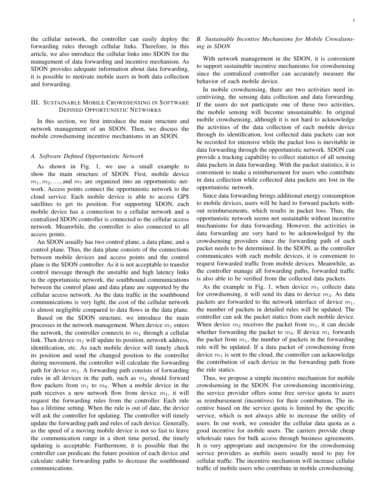the cellular network, the controller can easily deploy the forwarding rules through cellular links. Therefore, in this article, we also introduce the cellular links into SDON for the management of data forwarding and incentive mechanism. As SDON provides adequate information about data forwarding, it is possible to motivate mobile users in both data collection and forwarding.

## III. SUSTAINABLE MOBILE CROWDSENSING IN SOFTWARE DEFINED OPPORTUNISTIC NETWORKS

In this section, we first introduce the main structure and network management of an SDON. Then, we discuss the mobile crowdsensing incentive mechanisms in an SDON.

### *A. Software Defined Opportunistic Network*

As shown in Fig. 1, we use a small example to show the main structure of SDON. First, mobile device  $m_1, m_2, \ldots$ , and  $m_7$  are organized into an opportunistic network. Access points connect the opportunistic network to the cloud service. Each mobile device is able to access GPS satellites to get its position. For supporting SDON, each mobile device has a connection to a cellular network and a centralized SDON controller is connected to the cellular access network. Meanwhile, the controller is also connected to all access points.

An SDON usually has two control plane, a data plane, and a control plane. Thus, the data plane consists of the connections between mobile devices and access points and the control plane is the SDON controller. As it is not acceptable to transfer control message through the unstable and high latency links in the opportunistic network, the southbound communications between the control plane and data plane are supported by the cellular access network. As the data traffic in the southbound communications is very light, the cost of the cellular network is almost negligible compared to data flows in the data plane.

Based on the SDON structure, we introduce the main processes in the network management. When device  $m_1$  enters the network, the controller connects to  $m_1$  through a cellular link. Then device  $m_1$  will update its position, network address, identification, etc. As each mobile device will timely check its position and send the changed position to the controller during movement, the controller will calculate the forwarding path for device  $m_1$ . A forwarding path consists of forwarding rules in all devices in the path, such as  $m_4$  should forward flow packets from  $m_1$  to  $m_8$ . When a mobile device in the path receives a new network flow from device  $m_1$ , it will request the forwarding rules from the controller. Each rule has a lifetime setting. When the rule is out of date, the device will ask the controller for updating. The controller will timely update the forwarding path and rules of each device. Generally, as the speed of a moving mobile device is not so fast to leave the communication range in a short time period, the timely updating is acceptable. Furthermore, it is possible that the controller can predicate the future position of each device and calculate stable forwarding paths to decrease the southbound communications.

#### 3

## *B. Sustainable Incentive Mechanisms for Mobile Crowdsensing in SDON*

With network management in the SDON, it is convenient to support sustainable incentive mechanisms for crowdsensing since the centralized controller can accurately measure the behavior of each mobile device.

In mobile crowdsensing, there are two activities need incentivizing, the sensing data collection and data forwarding. If the users do not participate one of these two activities, the mobile sensing will become unsustainable. In original mobile crowdsensing, although it is not hard to acknowledge the activities of the data collection of each mobile device through its identification, lost collected data packets can not be recorded for intensive while the packet loss is inevitable in data forwarding through the opportunistic network. SDON can provide a tracking capability to collect statistics of all sensing data packets in data forwarding. With the packet statistics, it is convenient to make a reimbursement for users who contribute in data collection while collected data packets are lost in the opportunistic network.

Since data forwarding brings additional energy consumption to mobile devices, users will be hard to forward packets without reimbursements, which results in packet loss. Thus, the opportunistic network seems not sustainable without incentive mechanisms for data forwarding. However, the activities in data forwarding are very hard to be acknowledged by the crowdsensing providers since the forwarding path of each packet needs to be determined. In the SDON, as the controller communicates with each mobile devices, it is convenient to request forwarded traffic from mobile devices. Meanwhile, as the controller manage all forwarding paths, forwarded traffic is also able to be verified from the collected data packets.

As the example in Fig. 1, when device  $m_1$  collects data for crowdsensing, it will send its data to device  $m_3$ . As data packets are forwarded to the network interface of device  $m_1$ , the number of packets in detailed rules will be updated. The controller can ask the packet statics from each mobile device. When device  $m_3$  receives the packet from  $m_1$ , it can decide whether forwarding the packet to  $m_4$ . If device  $m_1$  forwards the packet from  $m_1$ , the number of packets in the forwarding rule will be updated. If a data packet of crowdsensing from device  $m_1$  is sent to the cloud, the controller can acknowledge the contribution of each device in the forwarding path from the rule statics.

Thus, we propose a simple incentive mechanism for mobile crowdsensing in the SDON. For crowdsensing incentivizing, the service provider offers some free service quota to users as reimbursement (incentives) for their contribution. The incentive based on the service quota is limited by the specific service, which is not always able to increase the utility of users. In our work, we consider the cellular data quota as a good incentive for mobile users. The carriers provide cheap wholesale rates for bulk access through business agreements. It is very appropriate and inexpensive for the crowdsensing service providers as mobile users usually need to pay for cellular traffic. The incentive mechanism will increase cellular traffic of mobile users who contribute in mobile crowdsensing.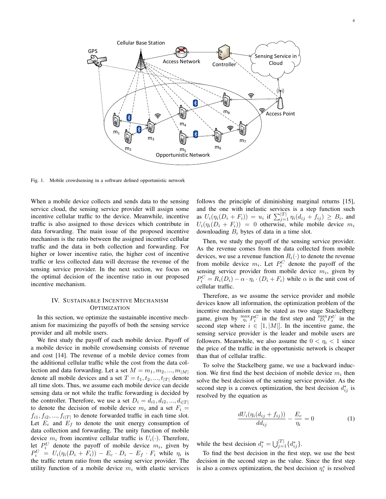

Fig. 1. Mobile crowdsensing in a software defined opportunistic network

When a mobile device collects and sends data to the sensing service cloud, the sensing service provider will assign some incentive cellular traffic to the device. Meanwhile, incentive traffic is also assigned to those devices which contribute in data forwarding. The main issue of the proposed incentive mechanism is the ratio between the assigned incentive cellular traffic and the data in both collection and forwarding. For higher or lower incentive ratio, the higher cost of incentive traffic or less collected data will decrease the revenue of the sensing service provider. In the next section, we focus on the optimal decision of the incentive ratio in our proposed incentive mechanism.

## IV. SUSTAINABLE INCENTIVE MECHANISM **OPTIMIZATION**

In this section, we optimize the sustainable incentive mechanism for maximizing the payoffs of both the sensing service provider and all mobile users.

We first study the payoff of each mobile device. Payoff of a mobile device in mobile crowdsensing consists of revenue and cost [14]. The revenue of a mobile device comes from the additional cellular traffic while the cost from the data collection and data forwarding. Let a set  $M = m_1, m_2, ..., m_{|M|}$ denote all mobile devices and a set  $T = t_1, t_2, ..., t_{|T|}$  denote all time slots. Thus, we assume each mobile device can decide sensing data or not while the traffic forwarding is decided by the controller. Therefore, we use a set  $D_i = d_{i1}, d_{i2}, ..., d_{i|T|}$ to denote the decision of mobile device  $m_i$  and a set  $F_i =$  $f_{i1}, f_{i2}, ..., f_{i|T|}$  to denote forwarded traffic in each time slot. Let  $E_c$  and  $E_f$  to denote the unit energy consumption of data collection and forwarding. The unity function of mobile device  $m_i$  from incentive cellular traffic is  $U_i(\cdot)$ . Therefore, let  $P_i^U$  denote the payoff of mobile device  $m_i$ , given by  $P_i^U = U_i(\eta_i(D_i + F_i)) - E_c \cdot D_i - E_f \cdot F_i$  while  $\eta_i$  is the traffic return ratio from the sensing service provider. The utility function of a mobile device  $m_i$  with elastic services follows the principle of diminishing marginal returns [15], and the one with inelastic services is a step function such as  $U_i(\eta_i(D_i + F_i)) = u_i$  if  $\sum_{j=1}^{|T|} \eta_i(d_{ij} + f_{ij}) \ge B_i$ , and  $U_i(\eta_i(D_i + F_i)) = 0$  otherwise, while mobile device  $m_i$ downloading  $B_i$  bytes of data in a time slot.

Then, we study the payoff of the sensing service provider. As the revenue comes from the data collected from mobile devices, we use a revenue function  $R_i(\cdot)$  to denote the revenue from mobile device  $m_i$ . Let  $P_i^C$  denote the payoff of the sensing service provider from mobile device  $m_i$ , given by  $P_i^C = R_i(D_i) - \alpha \cdot \eta_i \cdot (D_i + F_i)$  while  $\alpha$  is the unit cost of cellular traffic.

Therefore, as we assume the service provider and mobile devices know all information, the optimization problem of the incentive mechanism can be stated as two stage Stackelberg game, given by  $\max_{\eta_i} P_i^C$  in the first step and  $\max_{D_i} P_i^U$  in the second step where  $i \in [1, |M|]$ . In the incentive game, the sensing service provider is the leader and mobile users are followers. Meanwhile, we also assume the  $0 < \eta_i < 1$  since the price of the traffic in the opportunistic network is cheaper than that of cellular traffic.

To solve the Stackelberg game, we use a backward induction. We first find the best decision of mobile device  $m_i$  then solve the best decision of the sensing service provider. As the second step is a convex optimization, the best decision  $d_{ij}^*$  is resolved by the equation as

$$
\frac{dU_i(\eta_i(d_{ij} + f_{ij}))}{dd_{ij}} - \frac{E_c}{\eta_i} = 0 \tag{1}
$$

while the best decision  $d_i^* = \bigcup_{j=1}^{|T|} \{d_{ij}^*\}.$ 

To find the best decision in the first step, we use the best decision in the second step as the value. Since the first step is also a convex optimization, the best decision  $\eta_i^*$  is resolved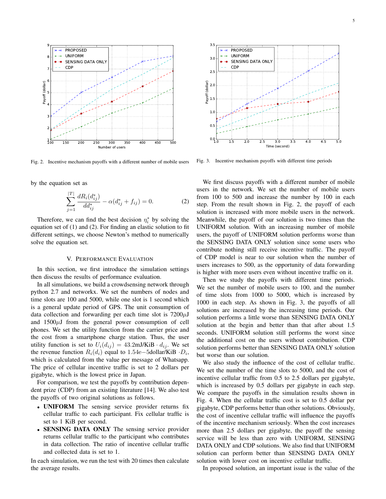

Fig. 2. Incentive mechanism payoffs with a different number of mobile users

by the equation set as

$$
\sum_{j=1}^{|T|} \frac{dR_i(d_{ij}^*)}{dd_{ij}^*} - \alpha(d_{ij}^* + f_{ij}) = 0.
$$
 (2)

Therefore, we can find the best decision  $\eta_i^*$  by solving the equation set of (1) and (2). For finding an elastic solution to fit different settings, we choose Newton's method to numerically solve the equation set.

#### V. PERFORMANCE EVALUATION

In this section, we first introduce the simulation settings then discuss the results of performance evaluation.

In all simulations, we build a crowdsensing network through python 2.7 and networkx. We set the numbers of nodes and time slots are 100 and 5000, while one slot is 1 second which is a general update period of GPS. The unit consumption of data collection and forwarding per each time slot is  $7200\mu J$ and  $1500\mu J$  from the general power consumption of cell phones. We set the utility function from the carrier price and the cost from a smartphone charge station. Thus, the user utility function is set to  $U_i(d_{ij}) = 43.2 \text{mJ/KiB} \cdot d_{ij}$ . We set the revenue function  $R_i(d_i)$  equal to 1.54e–5dollar/KiB · $D_i$ , which is calculated from the value per message of Whatsapp. The price of cellular incentive traffic is set to 2 dollars per gigabyte, which is the lowest price in Japan.

For comparison, we test the payoffs by contribution dependent prize (CDP) from an existing literature [14]. We also test the payoffs of two original solutions as follows.

- UNIFORM The sensing service provider returns fix cellular traffic to each participant. Fix cellular traffic is set to 1 KiB per second.
- SENSING DATA ONLY The sensing service provider returns cellular traffic to the participant who contributes in data collection. The ratio of incentive cellular traffic and collected data is set to 1.

In each simulation, we run the test with 20 times then calculate the average results.



Fig. 3. Incentive mechanism payoffs with different time periods

We first discuss payoffs with a different number of mobile users in the network. We set the number of mobile users from 100 to 500 and increase the number by 100 in each step. From the result shown in Fig. 2, the payoff of each solution is increased with more mobile users in the network. Meanwhile, the payoff of our solution is two times than the UNIFORM solution. With an increasing number of mobile users, the payoff of UNIFORM solution performs worse than the SENSING DATA ONLY solution since some users who contribute nothing still receive incentive traffic. The payoff of CDP model is near to our solution when the number of users increases to 500, as the opportunity of data forwarding is higher with more users even without incentive traffic on it.

Then we study the payoffs with different time periods. We set the number of mobile users to 100, and the number of time slots from 1000 to 5000, which is increased by 1000 in each step. As shown in Fig. 3, the payoffs of all solutions are increased by the increasing time periods. Our solution performs a little worse than SENSING DATA ONLY solution at the begin and better than that after about 1.5 seconds. UNIFORM solution still performs the worst since the additional cost on the users without contribution. CDP solution performs better than SENSING DATA ONLY solution but worse than our solution.

We also study the influence of the cost of cellular traffic. We set the number of the time slots to 5000, and the cost of incentive cellular traffic from 0.5 to 2.5 dollars per gigabyte, which is increased by 0.5 dollars per gigabyte in each step. We compare the payoffs in the simulation results shown in Fig. 4. When the cellular traffic cost is set to 0.5 dollar per gigabyte, CDP performs better than other solutions. Obviously, the cost of incentive cellular traffic will influence the payoffs of the incentive mechanism seriously. When the cost increases more than 2.5 dollars per gigabyte, the payoff the sensing service will be less than zero with UNIFORM, SENSING DATA ONLY and CDP solutions. We also find that UNIFORM solution can perform better than SENSING DATA ONLY solution with lower cost on incentive cellular traffic.

In proposed solution, an important issue is the value of the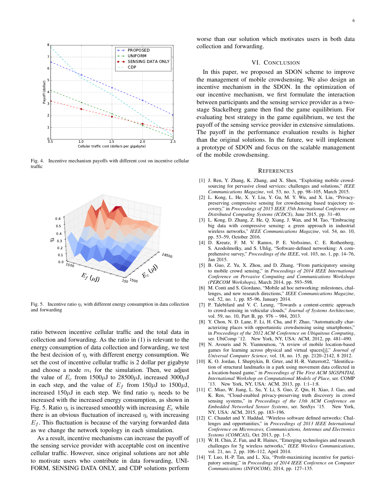

Fig. 4. Incentive mechanism payoffs with different cost on incentive cellular traffic



Fig. 5. Incentive ratio  $\eta_i$  with different energy consumption in data collection and forwarding

ratio between incentive cellular traffic and the total data in collection and forwarding. As the ratio in (1) is relevant to the energy consumption of data collection and forwarding, we test the best decision of  $\eta_i$  with different energy consumption. We set the cost of incentive cellular traffic is 2 dollar per gigabyte and choose a node  $m_i$  for the simulation. Then, we adjust the value of  $E_c$  from 1500 $\mu$ J to 28500 $\mu$ J, increased 3000 $\mu$ J in each step, and the value of  $E_f$  from 150 $\mu$ J to 1500 $\mu$ J, increased 150 $\mu$ J in each step. We find ratio  $\eta_i$  needs to be increased with the increased energy consumption, as shown in Fig. 5. Ratio  $\eta_i$  is increased smoothly with increasing  $E_c$  while there is an obvious fluctuation of increased  $\eta_i$  with increasing  $E_f$ . This fluctuation is because of the varying forwarded data as we change the network topology in each simulation.

As a result, incentive mechanisms can increase the payoff of the sensing service provider with acceptable cost on incentive cellular traffic. However, since original solutions are not able to motivate users who contribute in data forwarding, UNI-FORM, SENSING DATA ONLY, and CDP solutions perform

worse than our solution which motivates users in both data collection and forwarding.

### VI. CONCLUSION

In this paper, we proposed an SDON scheme to improve the management of mobile crowdsensing. We also design an incentive mechanism in the SDON. In the optimization of our incentive mechanism, we first formulate the interaction between participants and the sensing service provider as a twostage Stackelberg game then find the game equilibrium. For evaluating best strategy in the game equilibrium, we test the payoff of the sensing service provider in extensive simulations. The payoff in the performance evaluation results is higher than the original solutions. In the future, we will implement a prototype of SDON and focus on the scalable management of the mobile crowdsensing.

#### **REFERENCES**

- [1] J. Ren, Y. Zhang, K. Zhang, and X. Shen, "Exploiting mobile crowdsourcing for pervasive cloud services: challenges and solutions," *IEEE Communications Magazine*, vol. 53, no. 3, pp. 98–105, March 2015.
- [2] L. Kong, L. He, X. Y. Liu, Y. Gu, M. Y. Wu, and X. Liu, "Privacypreserving compressive sensing for crowdsensing based trajectory recovery," in *Proceedings of 2015 IEEE 35th International Conference on Distributed Computing Systems (ICDCS)*, June 2015, pp. 31–40.
- [3] L. Kong, D. Zhang, Z. He, Q. Xiang, J. Wan, and M. Tao, "Embracing big data with compressive sensing: a green approach in industrial wireless networks," *IEEE Communications Magazine*, vol. 54, no. 10, pp. 53–59, October 2016.
- [4] D. Kreutz, F. M. V. Ramos, P. E. Verłssimo, C. E. Rothenberg, S. Azodolmolky, and S. Uhlig, "Software-defined networking: A comprehensive survey," *Proceedings of the IEEE*, vol. 103, no. 1, pp. 14–76, Jan 2015.
- [5] B. Guo, Z. Yu, X. Zhou, and D. Zhang, "From participatory sensing to mobile crowd sensing," in *Proceedings of 2014 IEEE International Conference on Pervasive Computing and Communications Workshops (PERCOM Workshops)*, March 2014, pp. 593–598.
- [6] M. Conti and S. Giordano, "Mobile ad hoc networking: milestones, challenges, and new research directions," *IEEE Communications Magazine*, vol. 52, no. 1, pp. 85–96, January 2014.
- [7] P. Talebifard and V. C. Leung, "Towards a content-centric approach to crowd-sensing in vehicular clouds," *Journal of Systems Architecture*, vol. 59, no. 10, Part B, pp. 976 – 984, 2013.
- [8] Y. Chon, N. D. Lane, F. Li, H. Cha, and F. Zhao, "Automatically characterizing places with opportunistic crowdsensing using smartphones," in *Proceedings of the 2012 ACM Conference on Ubiquitous Computing*, ser. UbiComp '12. New York, NY, USA: ACM, 2012, pp. 481–490.
- [9] N. Avouris and N. Yiannoutsou, "A review of mobile location-based games for learning across physical and virtual spaces[j]," *Journal of Universal Computer Science*, vol. 18, no. 15, pp. 2120–2142, 8 2012.
- [10] K. O. Jordan, I. Sheptykin, B. Grter, and H.-R. Vatterrott2, "Identification of structural landmarks in a park using movement data collected in a location-based game," in *Proceedings of The First ACM SIGSPATIAL International Workshop on Computational Models of Place*, ser. COMP '13. New York, NY, USA: ACM, 2013, pp. 1:1–1:8.
- [11] C. Miao, W. Jiang, L. Su, Y. Li, S. Guo, Z. Qin, H. Xiao, J. Gao, and K. Ren, "Cloud-enabled privacy-preserving truth discovery in crowd sensing systems," in *Proceedings of the 13th ACM Conference on Embedded Networked Sensor Systems*, ser. SenSys '15. New York, NY, USA: ACM, 2015, pp. 183–196.
- [12] C. Chaudet and Y. Haddad, "Wireless software defined networks: Challenges and opportunities," in *Proceedings of 2013 IEEE International Conference on Microwaves, Communications, Antennas and Electronics Systems (COMCAS)*, Oct 2013, pp. 1–5.
- [13] W. H. Chin, Z. Fan, and R. Haines, "Emerging technologies and research challenges for 5g wireless networks," *IEEE Wireless Communications*, vol. 21, no. 2, pp. 106–112, April 2014.
- [14] T. Luo, H.-P. Tan, and L. Xia, "Profit-maximizing incentive for participatory sensing," in *Proceedings of 2014 IEEE Conference on Computer Communications (INFOCOM)*, 2014, pp. 127–135.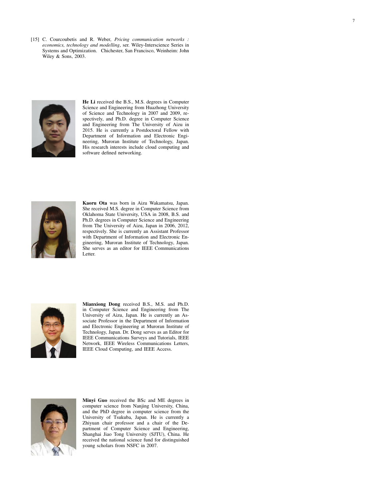[15] C. Courcoubetis and R. Weber, *Pricing communication networks : economics, technology and modelling*, ser. Wiley-Interscience Series in Systems and Optimization. Chichester, San Francisco, Weinheim: John Wiley & Sons, 2003.



He Li received the B.S., M.S. degrees in Computer Science and Engineering from Huazhong University of Science and Technology in 2007 and 2009, respectively, and Ph.D. degree in Computer Science and Engineering from The University of Aizu in 2015. He is currently a Postdoctoral Fellow with Department of Information and Electronic Engineering, Muroran Institute of Technology, Japan. His research interests include cloud computing and software defined networking.



Kaoru Ota was born in Aizu Wakamatsu, Japan. She received M.S. degree in Computer Science from Oklahoma State University, USA in 2008, B.S. and Ph.D. degrees in Computer Science and Engineering from The University of Aizu, Japan in 2006, 2012, respectively. She is currently an Assistant Professor with Department of Information and Electronic Engineering, Muroran Institute of Technology, Japan. She serves as an editor for IEEE Communications Letter.



Mianxiong Dong received B.S., M.S. and Ph.D. in Computer Science and Engineering from The University of Aizu, Japan. He is currently an Associate Professor in the Department of Information and Electronic Engineering at Muroran Institute of Technology, Japan. Dr. Dong serves as an Editor for IEEE Communications Surveys and Tutorials, IEEE Network, IEEE Wireless Communications Letters, IEEE Cloud Computing, and IEEE Access.



Minyi Guo received the BSc and ME degrees in computer science from Nanjing University, China, and the PhD degree in computer science from the University of Tsukuba, Japan. He is currently a Zhiyuan chair professor and a chair of the Department of Computer Science and Engineering, Shanghai Jiao Tong University (SJTU), China. He received the national science fund for distinguished young scholars from NSFC in 2007.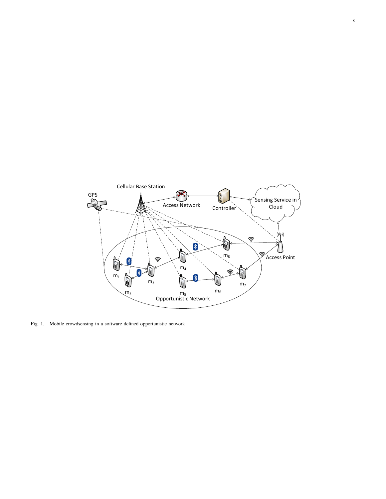

Fig. 1. Mobile crowdsensing in a software defined opportunistic network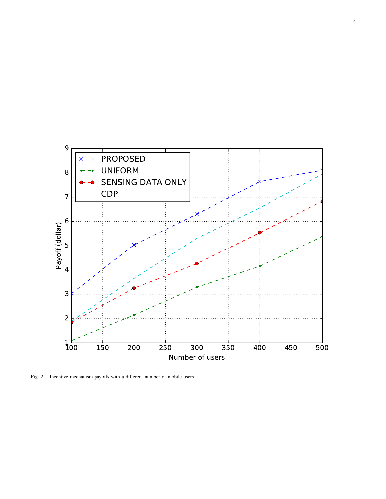

Fig. 2. Incentive mechanism payoffs with a different number of mobile users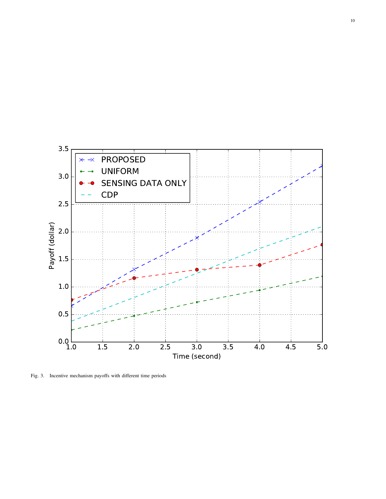

Fig. 3. Incentive mechanism payoffs with different time periods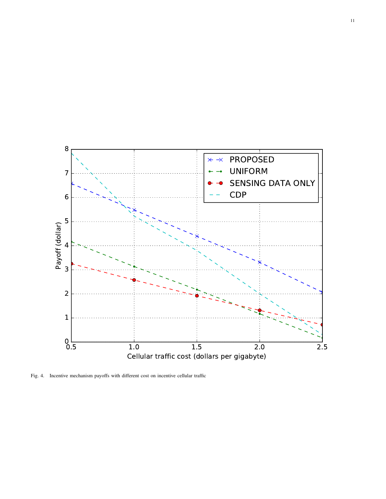

Fig. 4. Incentive mechanism payoffs with different cost on incentive cellular traffic